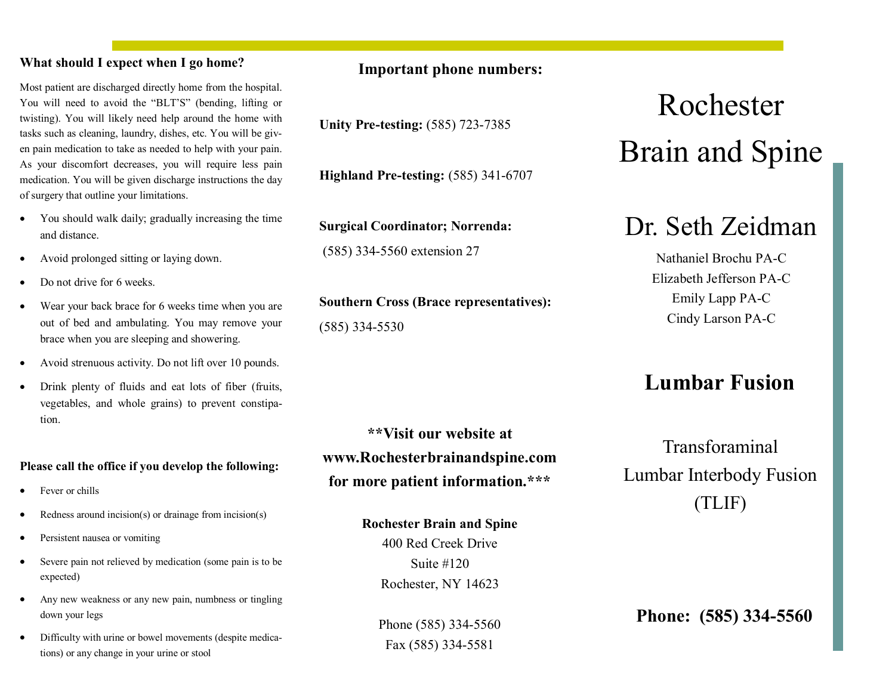#### **What should I expect when I go home?**

Most patient are discharged directly home from the hospital. You will need to avoid the "BLT'S" (bending, lifting or twisting). You will likely need help around the home with tasks such as cleaning, laundry, dishes, etc. You will be given pain medication to take as needed to help with your pain. As your discomfort decreases, you will require less pain medication. You will be given discharge instructions the day of surgery that outline your limitations.

- You should walk daily; gradually increasing the time and distance.
- Avoid prolonged sitting or laying down.
- Do not drive for 6 weeks.
- Wear your back brace for 6 weeks time when you are out of bed and ambulating. You may remove your brace when you are sleeping and showering.
- Avoid strenuous activity. Do not lift over 10 pounds.
- Drink plenty of fluids and eat lots of fiber (fruits, vegetables, and whole grains) to prevent constipation.

#### **Please call the office if you develop the following:**

- Fever or chills
- Redness around incision(s) or drainage from incision(s)
- Persistent nausea or vomiting
- Severe pain not relieved by medication (some pain is to be expected)
- Any new weakness or any new pain, numbness or tingling down your legs
- Difficulty with urine or bowel movements (despite medications) or any change in your urine or stool

### **Important phone numbers:**

**Unity Pre-testing:** (585) 723-7385

**Highland Pre-testing:** (585) 341-6707

**Surgical Coordinator; Norrenda:**  (585) 334-5560 extension 27

**Southern Cross (Brace representatives):** (585) 334-5530

**\*\*Visit our website at www.Rochesterbrainandspine.com for more patient information.\*\*\***

> **Rochester Brain and Spine** 400 Red Creek Drive

> > Suite #120 Rochester, NY 14623

Phone (585) 334-5560 Fax (585) 334-5581

Rochester Brain and Spine

# Dr. Seth Zeidman

Nathaniel Brochu PA-C Elizabeth Jefferson PA-C Emily Lapp PA-C Cindy Larson PA-C

# **Lumbar Fusion**

Transforaminal Lumbar Interbody Fusion (TLIF)

**Phone: (585) 334-5560**